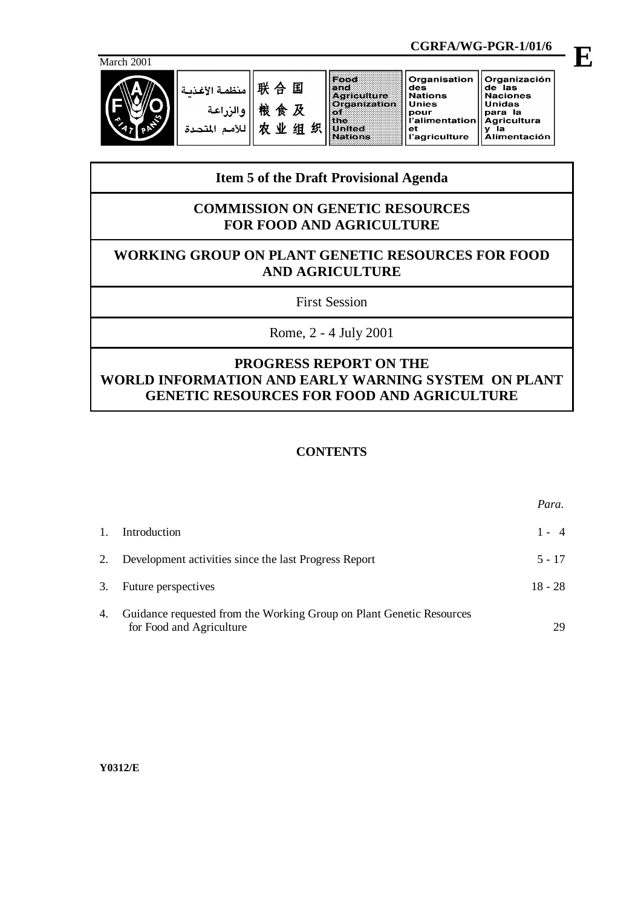

|            |                                            |                                   |        | CGRFA/WG-PGR-1/01/6                                                                                                |                                                                                                        |                                                                                                             |  |
|------------|--------------------------------------------|-----------------------------------|--------|--------------------------------------------------------------------------------------------------------------------|--------------------------------------------------------------------------------------------------------|-------------------------------------------------------------------------------------------------------------|--|
| March 2001 |                                            |                                   |        |                                                                                                                    |                                                                                                        |                                                                                                             |  |
|            | منظمة الأغذسة<br>والزراعة<br>للأمم المتحدة | 联合国<br>粮食及<br>$\mathbf{W}$ .<br>贞 | 织<br>组 | Food<br>e nd:<br><b>Agriculture</b><br>Organization<br>K SY I<br>l the i<br>a a desta contra con<br><b>Nations</b> | Organisation<br>des<br><b>Nations</b><br><b>Unies</b><br>pour<br>l'alimentation<br>еt<br>l'agriculture | Organización<br>de las<br><b>Naciones</b><br><b>Unidas</b><br>para la<br><b>Agricultura</b><br>Alimentación |  |

# **Item 5 of the Draft Provisional Agenda**

## **COMMISSION ON GENETIC RESOURCES FOR FOOD AND AGRICULTURE**

# **WORKING GROUP ON PLANT GENETIC RESOURCES FOR FOOD AND AGRICULTURE**

First Session

Rome, 2 - 4 July 2001

# **PROGRESS REPORT ON THE WORLD INFORMATION AND EARLY WARNING SYSTEM ON PLANT GENETIC RESOURCES FOR FOOD AND AGRICULTURE**

## **CONTENTS**

|    |                                                                                                  | Para.     |
|----|--------------------------------------------------------------------------------------------------|-----------|
| 1. | Introduction                                                                                     | $1 - 4$   |
|    | 2. Development activities since the last Progress Report                                         | $5 - 17$  |
| 3. | Future perspectives                                                                              | $18 - 28$ |
| 4. | Guidance requested from the Working Group on Plant Genetic Resources<br>for Food and Agriculture | 29        |

**Y0312/E**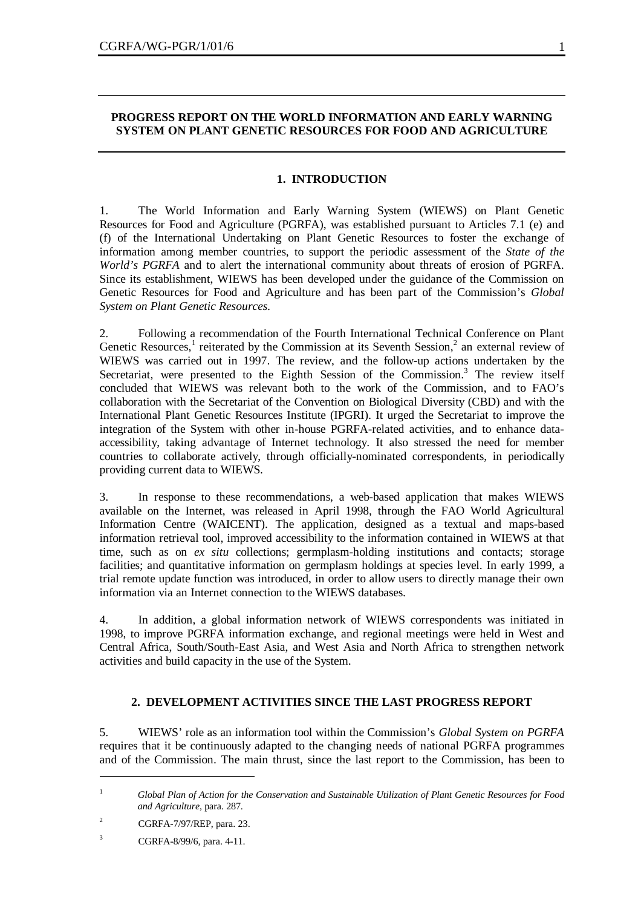## **PROGRESS REPORT ON THE WORLD INFORMATION AND EARLY WARNING SYSTEM ON PLANT GENETIC RESOURCES FOR FOOD AND AGRICULTURE**

### **1. INTRODUCTION**

1. The World Information and Early Warning System (WIEWS) on Plant Genetic Resources for Food and Agriculture (PGRFA), was established pursuant to Articles 7.1 (e) and (f) of the International Undertaking on Plant Genetic Resources to foster the exchange of information among member countries, to support the periodic assessment of the *State of the World's PGRFA* and to alert the international community about threats of erosion of PGRFA. Since its establishment, WIEWS has been developed under the guidance of the Commission on Genetic Resources for Food and Agriculture and has been part of the Commission's *Global System on Plant Genetic Resources*.

2. Following a recommendation of the Fourth International Technical Conference on Plant Genetic Resources,<sup>1</sup> reiterated by the Commission at its Seventh Session,<sup>2</sup> an external review of WIEWS was carried out in 1997. The review, and the follow-up actions undertaken by the Secretariat, were presented to the Eighth Session of the Commission.<sup>3</sup> The review itself concluded that WIEWS was relevant both to the work of the Commission, and to FAO's collaboration with the Secretariat of the Convention on Biological Diversity (CBD) and with the International Plant Genetic Resources Institute (IPGRI). It urged the Secretariat to improve the integration of the System with other in-house PGRFA-related activities, and to enhance dataaccessibility, taking advantage of Internet technology. It also stressed the need for member countries to collaborate actively, through officially-nominated correspondents, in periodically providing current data to WIEWS.

3. In response to these recommendations, a web-based application that makes WIEWS available on the Internet, was released in April 1998, through the FAO World Agricultural Information Centre (WAICENT). The application, designed as a textual and maps-based information retrieval tool, improved accessibility to the information contained in WIEWS at that time, such as on *ex situ* collections; germplasm-holding institutions and contacts; storage facilities; and quantitative information on germplasm holdings at species level. In early 1999, a trial remote update function was introduced, in order to allow users to directly manage their own information via an Internet connection to the WIEWS databases.

4. In addition, a global information network of WIEWS correspondents was initiated in 1998, to improve PGRFA information exchange, and regional meetings were held in West and Central Africa, South/South-East Asia, and West Asia and North Africa to strengthen network activities and build capacity in the use of the System.

## **2. DEVELOPMENT ACTIVITIES SINCE THE LAST PROGRESS REPORT**

5. WIEWS' role as an information tool within the Commission's *Global System on PGRFA* requires that it be continuously adapted to the changing needs of national PGRFA programmes and of the Commission. The main thrust, since the last report to the Commission, has been to

<sup>1</sup> *Global Plan of Action for the Conservation and Sustainable Utilization of Plant Genetic Resources for Food and Agriculture*, para. 287.

<sup>&</sup>lt;sup>2</sup> CGRFA-7/97/REP, para. 23.

<sup>3</sup> CGRFA-8/99/6, para. 4-11.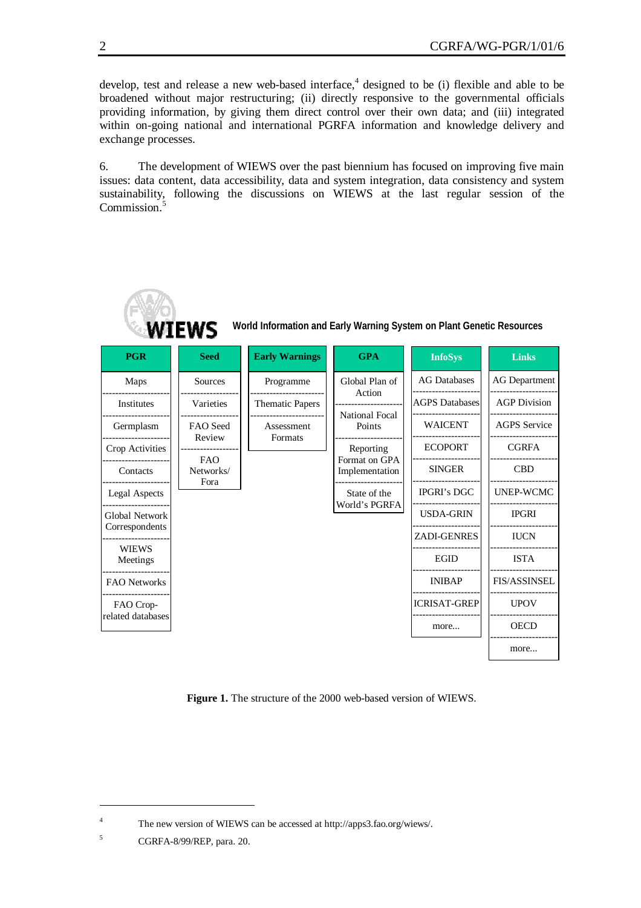develop, test and release a new web-based interface,<sup>4</sup> designed to be (i) flexible and able to be broadened without major restructuring; (ii) directly responsive to the governmental officials providing information, by giving them direct control over their own data; and (iii) integrated within on-going national and international PGRFA information and knowledge delivery and exchange processes.

6. The development of WIEWS over the past biennium has focused on improving five main issues: data content, data accessibility, data and system integration, data consistency and system sustainability, following the discussions on WIEWS at the last regular session of the Commission.<sup>5</sup>



**Figure 1.** The structure of the 2000 web-based version of WIEWS.

<sup>4</sup> The new version of WIEWS can be accessed at http://apps3.fao.org/wiews/.

<sup>5</sup> CGRFA-8/99/REP, para. 20.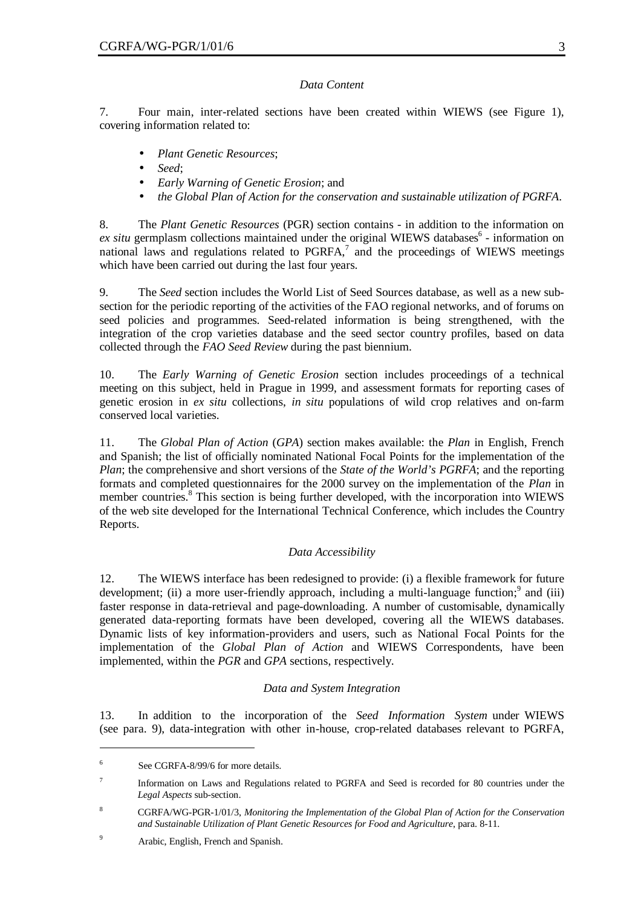### *Data Content*

7. Four main, inter-related sections have been created within WIEWS (see Figure 1), covering information related to:

- *Plant Genetic Resources*;
- *Seed*;
- *Early Warning of Genetic Erosion*; and
- *the Global Plan of Action for the conservation and sustainable utilization of PGRFA*.

8. The *Plant Genetic Resources* (PGR) section contains - in addition to the information on ex situ germplasm collections maintained under the original WIEWS databases<sup>6</sup> - information on national laws and regulations related to  $PGRFA$ ,<sup>7</sup> and the proceedings of WIEWS meetings which have been carried out during the last four years.

9. The *Seed* section includes the World List of Seed Sources database, as well as a new subsection for the periodic reporting of the activities of the FAO regional networks, and of forums on seed policies and programmes. Seed-related information is being strengthened, with the integration of the crop varieties database and the seed sector country profiles, based on data collected through the *FAO Seed Review* during the past biennium.

10. The *Early Warning of Genetic Erosion* section includes proceedings of a technical meeting on this subject, held in Prague in 1999, and assessment formats for reporting cases of genetic erosion in *ex situ* collections, *in situ* populations of wild crop relatives and on-farm conserved local varieties.

11. The *Global Plan of Action* (*GPA*) section makes available: the *Plan* in English, French and Spanish; the list of officially nominated National Focal Points for the implementation of the *Plan*; the comprehensive and short versions of the *State of the World's PGRFA*; and the reporting formats and completed questionnaires for the 2000 survey on the implementation of the *Plan* in member countries.<sup>8</sup> This section is being further developed, with the incorporation into WIEWS of the web site developed for the International Technical Conference, which includes the Country Reports.

## *Data Accessibility*

12. The WIEWS interface has been redesigned to provide: (i) a flexible framework for future development; (ii) a more user-friendly approach, including a multi-language function;<sup>9</sup> and (iii) faster response in data-retrieval and page-downloading. A number of customisable, dynamically generated data-reporting formats have been developed, covering all the WIEWS databases. Dynamic lists of key information-providers and users, such as National Focal Points for the implementation of the *Global Plan of Action* and WIEWS Correspondents, have been implemented, within the *PGR* and *GPA* sections, respectively.

## *Data and System Integration*

13. In addition to the incorporation of the *Seed Information System* under WIEWS (see para. 9), data-integration with other in-house, crop-related databases relevant to PGRFA,

<sup>6</sup> See CGRFA-8/99/6 for more details.

<sup>7</sup> Information on Laws and Regulations related to PGRFA and Seed is recorded for 80 countries under the *Legal Aspects* sub-section.

<sup>8</sup> CGRFA/WG-PGR-1/01/3, *Monitoring the Implementation of the Global Plan of Action for the Conservation and Sustainable Utilization of Plant Genetic Resources for Food and Agriculture*, para. 8-11.

<sup>9</sup> Arabic, English, French and Spanish.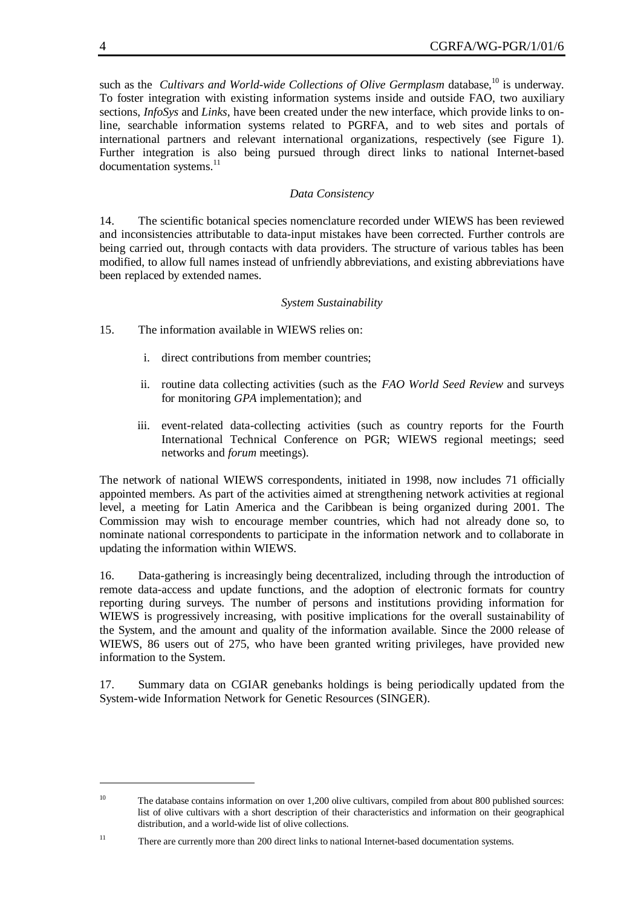such as the *Cultivars and World-wide Collections of Olive Germplasm* database,<sup>10</sup> is underway. To foster integration with existing information systems inside and outside FAO, two auxiliary sections, *InfoSys* and *Links*, have been created under the new interface, which provide links to online, searchable information systems related to PGRFA, and to web sites and portals of international partners and relevant international organizations, respectively (see Figure 1). Further integration is also being pursued through direct links to national Internet-based documentation systems.<sup>11</sup>

#### *Data Consistency*

14. The scientific botanical species nomenclature recorded under WIEWS has been reviewed and inconsistencies attributable to data-input mistakes have been corrected. Further controls are being carried out, through contacts with data providers. The structure of various tables has been modified, to allow full names instead of unfriendly abbreviations, and existing abbreviations have been replaced by extended names.

#### *System Sustainability*

- 15. The information available in WIEWS relies on:
	- i. direct contributions from member countries;
	- ii. routine data collecting activities (such as the *FAO World Seed Review* and surveys for monitoring *GPA* implementation); and
	- iii. event-related data-collecting activities (such as country reports for the Fourth International Technical Conference on PGR; WIEWS regional meetings; seed networks and *forum* meetings).

The network of national WIEWS correspondents, initiated in 1998, now includes 71 officially appointed members. As part of the activities aimed at strengthening network activities at regional level, a meeting for Latin America and the Caribbean is being organized during 2001. The Commission may wish to encourage member countries, which had not already done so, to nominate national correspondents to participate in the information network and to collaborate in updating the information within WIEWS.

16. Data-gathering is increasingly being decentralized, including through the introduction of remote data-access and update functions, and the adoption of electronic formats for country reporting during surveys. The number of persons and institutions providing information for WIEWS is progressively increasing, with positive implications for the overall sustainability of the System, and the amount and quality of the information available. Since the 2000 release of WIEWS, 86 users out of 275, who have been granted writing privileges, have provided new information to the System.

17. Summary data on CGIAR genebanks holdings is being periodically updated from the System-wide Information Network for Genetic Resources (SINGER).

<sup>&</sup>lt;sup>10</sup> The database contains information on over 1,200 olive cultivars, compiled from about 800 published sources: list of olive cultivars with a short description of their characteristics and information on their geographical distribution, and a world-wide list of olive collections.

<sup>&</sup>lt;sup>11</sup> There are currently more than 200 direct links to national Internet-based documentation systems.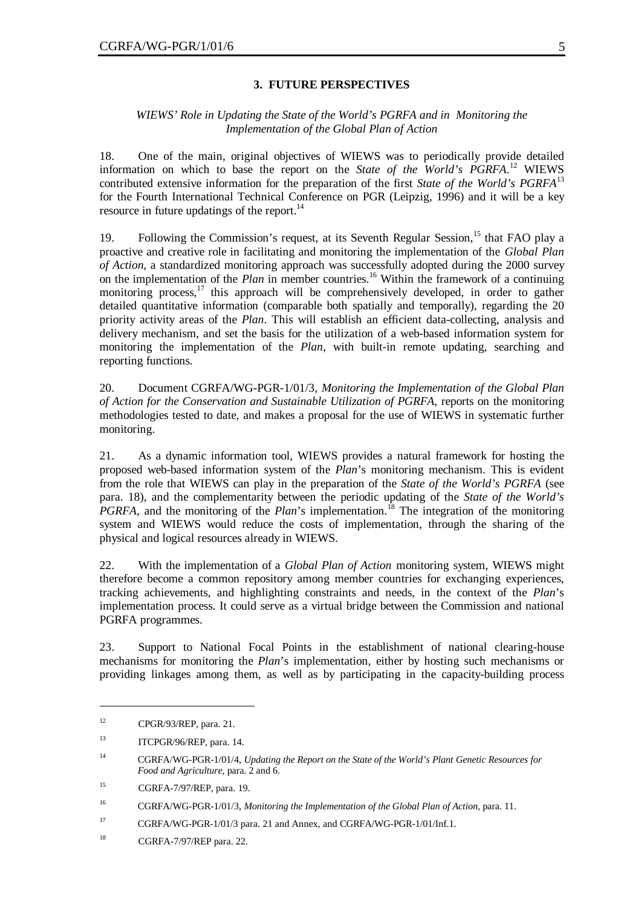#### **3. FUTURE PERSPECTIVES**

#### *WIEWS' Role in Updating the State of the World's PGRFA and in Monitoring the Implementation of the Global Plan of Action*

18. One of the main, original objectives of WIEWS was to periodically provide detailed information on which to base the report on the *State of the World's PGRFA*. <sup>12</sup> WIEWS contributed extensive information for the preparation of the first *State of the World's PGRFA*<sup>13</sup> for the Fourth International Technical Conference on PGR (Leipzig, 1996) and it will be a key resource in future updatings of the report.<sup>14</sup>

19. Following the Commission's request, at its Seventh Regular Session,<sup>15</sup> that FAO play a proactive and creative role in facilitating and monitoring the implementation of the *Global Plan of Action*, a standardized monitoring approach was successfully adopted during the 2000 survey on the implementation of the *Plan* in member countries.<sup>16</sup> Within the framework of a continuing monitoring process, $^{17}$  this approach will be comprehensively developed, in order to gather detailed quantitative information (comparable both spatially and temporally), regarding the 20 priority activity areas of the *Plan*. This will establish an efficient data-collecting, analysis and delivery mechanism, and set the basis for the utilization of a web-based information system for monitoring the implementation of the *Plan*, with built-in remote updating, searching and reporting functions.

20. Document CGRFA/WG-PGR-1/01/3, *Monitoring the Implementation of the Global Plan of Action for the Conservation and Sustainable Utilization of PGRFA*, reports on the monitoring methodologies tested to date, and makes a proposal for the use of WIEWS in systematic further monitoring.

21. As a dynamic information tool, WIEWS provides a natural framework for hosting the proposed web-based information system of the *Plan*'s monitoring mechanism. This is evident from the role that WIEWS can play in the preparation of the *State of the World's PGRFA* (see para. 18), and the complementarity between the periodic updating of the *State of the World's PGRFA*, and the monitoring of the *Plan*'s implementation.<sup>18</sup> The integration of the monitoring system and WIEWS would reduce the costs of implementation, through the sharing of the physical and logical resources already in WIEWS.

22. With the implementation of a *Global Plan of Action* monitoring system, WIEWS might therefore become a common repository among member countries for exchanging experiences, tracking achievements, and highlighting constraints and needs, in the context of the *Plan*'s implementation process. It could serve as a virtual bridge between the Commission and national PGRFA programmes.

23. Support to National Focal Points in the establishment of national clearing-house mechanisms for monitoring the *Plan*'s implementation, either by hosting such mechanisms or providing linkages among them, as well as by participating in the capacity-building process

<sup>12</sup> CPGR/93/REP, para. 21.

<sup>&</sup>lt;sup>13</sup> ITCPGR/96/REP, para. 14.

<sup>14</sup> CGRFA/WG-PGR-1/01/4, *Updating the Report on the State of the World's Plant Genetic Resources for Food and Agriculture*, para. 2 and 6.

<sup>15</sup> CGRFA-7/97/REP, para. 19.

<sup>16</sup> CGRFA/WG-PGR-1/01/3, *Monitoring the Implementation of the Global Plan of Action*, para. 11.

<sup>&</sup>lt;sup>17</sup> CGRFA/WG-PGR-1/01/3 para. 21 and Annex, and CGRFA/WG-PGR-1/01/Inf.1.

<sup>18</sup> CGRFA-7/97/REP para. 22.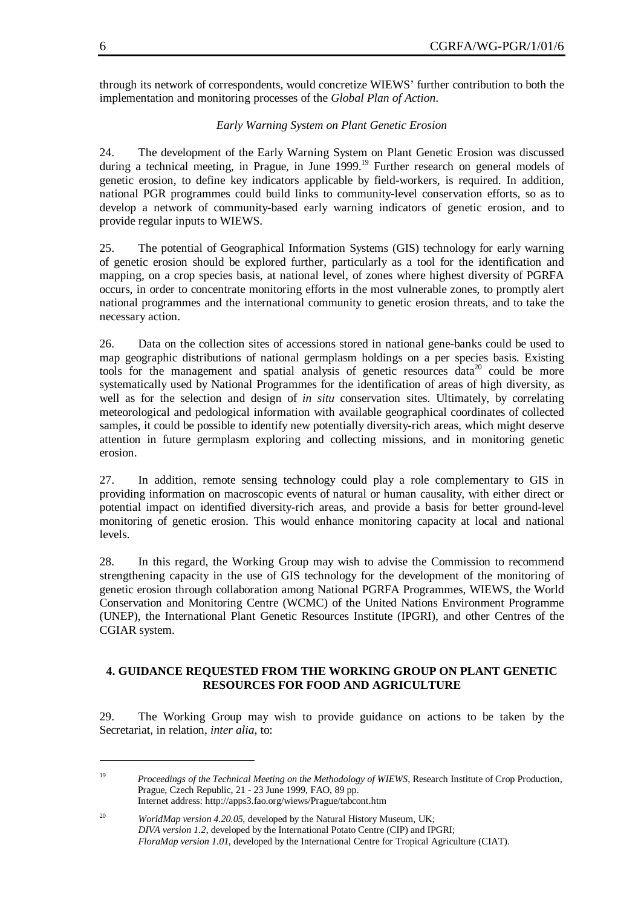through its network of correspondents, would concretize WIEWS' further contribution to both the implementation and monitoring processes of the *Global Plan of Action*.

#### *Early Warning System on Plant Genetic Erosion*

24. The development of the Early Warning System on Plant Genetic Erosion was discussed during a technical meeting, in Prague, in June 1999.<sup>19</sup> Further research on general models of genetic erosion, to define key indicators applicable by field-workers, is required. In addition, national PGR programmes could build links to community-level conservation efforts, so as to develop a network of community-based early warning indicators of genetic erosion, and to provide regular inputs to WIEWS.

25. The potential of Geographical Information Systems (GIS) technology for early warning of genetic erosion should be explored further, particularly as a tool for the identification and mapping, on a crop species basis, at national level, of zones where highest diversity of PGRFA occurs, in order to concentrate monitoring efforts in the most vulnerable zones, to promptly alert national programmes and the international community to genetic erosion threats, and to take the necessary action.

26. Data on the collection sites of accessions stored in national gene-banks could be used to map geographic distributions of national germplasm holdings on a per species basis. Existing tools for the management and spatial analysis of genetic resources data<sup>20</sup> could be more systematically used by National Programmes for the identification of areas of high diversity, as well as for the selection and design of *in situ* conservation sites. Ultimately, by correlating meteorological and pedological information with available geographical coordinates of collected samples, it could be possible to identify new potentially diversity-rich areas, which might deserve attention in future germplasm exploring and collecting missions, and in monitoring genetic erosion.

27. In addition, remote sensing technology could play a role complementary to GIS in providing information on macroscopic events of natural or human causality, with either direct or potential impact on identified diversity-rich areas, and provide a basis for better ground-level monitoring of genetic erosion. This would enhance monitoring capacity at local and national levels.

28. In this regard, the Working Group may wish to advise the Commission to recommend strengthening capacity in the use of GIS technology for the development of the monitoring of genetic erosion through collaboration among National PGRFA Programmes, WIEWS, the World Conservation and Monitoring Centre (WCMC) of the United Nations Environment Programme (UNEP), the International Plant Genetic Resources Institute (IPGRI), and other Centres of the CGIAR system.

#### **4. GUIDANCE REQUESTED FROM THE WORKING GROUP ON PLANT GENETIC RESOURCES FOR FOOD AND AGRICULTURE**

29. The Working Group may wish to provide guidance on actions to be taken by the Secretariat, in relation, *inter alia*, to:

<sup>19</sup> *Proceedings of the Technical Meeting on the Methodology of WIEWS*, Research Institute of Crop Production, Prague, Czech Republic, 21 - 23 June 1999, FAO, 89 pp. Internet address: http://apps3.fao.org/wiews/Prague/tabcont.htm

<sup>&</sup>lt;sup>20</sup> *WorldMap version 4.20.05*, developed by the Natural History Museum, UK; *DIVA version 1.2*, developed by the International Potato Centre (CIP) and IPGRI; *FloraMap version 1.01*, developed by the International Centre for Tropical Agriculture (CIAT).